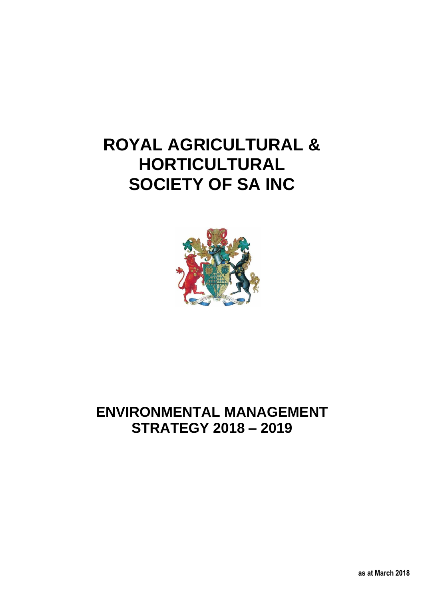# **ROYAL AGRICULTURAL & HORTICULTURAL SOCIETY OF SA INC**



## **ENVIRONMENTAL MANAGEMENT STRATEGY 2018 – 2019**

**as at March 2018**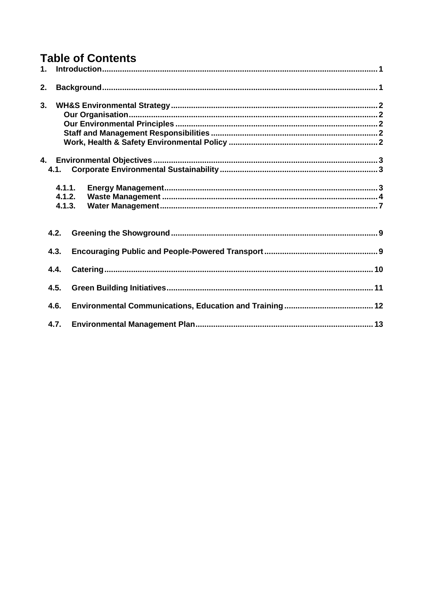## **Table of Contents**

| 1. |                            |  |
|----|----------------------------|--|
| 2. |                            |  |
| 3. |                            |  |
|    | 4.1.                       |  |
|    | 4.1.1.<br>4.1.2.<br>4.1.3. |  |
|    | 4.2.                       |  |
|    | 4.3.                       |  |
|    | 4.4.                       |  |
|    | 4.5.                       |  |
|    | 4.6.                       |  |
|    | 4.7.                       |  |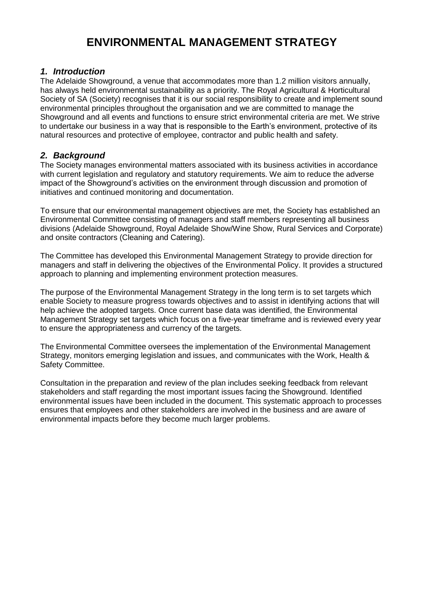## **ENVIRONMENTAL MANAGEMENT STRATEGY**

#### <span id="page-2-0"></span>*1. Introduction*

The Adelaide Showground, a venue that accommodates more than 1.2 million visitors annually, has always held environmental sustainability as a priority. The Royal Agricultural & Horticultural Society of SA (Society) recognises that it is our social responsibility to create and implement sound environmental principles throughout the organisation and we are committed to manage the Showground and all events and functions to ensure strict environmental criteria are met. We strive to undertake our business in a way that is responsible to the Earth's environment, protective of its natural resources and protective of employee, contractor and public health and safety.

### <span id="page-2-1"></span>*2. Background*

The Society manages environmental matters associated with its business activities in accordance with current legislation and regulatory and statutory requirements. We aim to reduce the adverse impact of the Showground's activities on the environment through discussion and promotion of initiatives and continued monitoring and documentation.

To ensure that our environmental management objectives are met, the Society has established an Environmental Committee consisting of managers and staff members representing all business divisions (Adelaide Showground, Royal Adelaide Show/Wine Show, Rural Services and Corporate) and onsite contractors (Cleaning and Catering).

The Committee has developed this Environmental Management Strategy to provide direction for managers and staff in delivering the objectives of the Environmental Policy. It provides a structured approach to planning and implementing environment protection measures.

The purpose of the Environmental Management Strategy in the long term is to set targets which enable Society to measure progress towards objectives and to assist in identifying actions that will help achieve the adopted targets. Once current base data was identified, the Environmental Management Strategy set targets which focus on a five-year timeframe and is reviewed every year to ensure the appropriateness and currency of the targets.

The Environmental Committee oversees the implementation of the Environmental Management Strategy, monitors emerging legislation and issues, and communicates with the Work, Health & Safety Committee.

Consultation in the preparation and review of the plan includes seeking feedback from relevant stakeholders and staff regarding the most important issues facing the Showground. Identified environmental issues have been included in the document. This systematic approach to processes ensures that employees and other stakeholders are involved in the business and are aware of environmental impacts before they become much larger problems.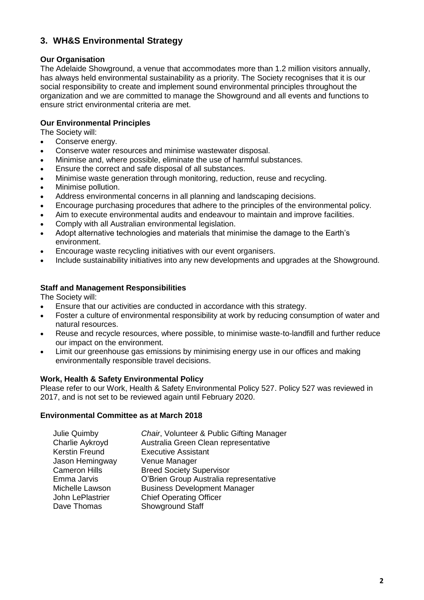## <span id="page-3-0"></span>**3. WH&S Environmental Strategy**

#### <span id="page-3-1"></span>**Our Organisation**

The Adelaide Showground, a venue that accommodates more than 1.2 million visitors annually, has always held environmental sustainability as a priority. The Society recognises that it is our social responsibility to create and implement sound environmental principles throughout the organization and we are committed to manage the Showground and all events and functions to ensure strict environmental criteria are met.

#### <span id="page-3-2"></span>**Our Environmental Principles**

The Society will:

- Conserve energy.
- Conserve water resources and minimise wastewater disposal.
- Minimise and, where possible, eliminate the use of harmful substances.
- Ensure the correct and safe disposal of all substances.
- Minimise waste generation through monitoring, reduction, reuse and recycling.
- Minimise pollution.
- Address environmental concerns in all planning and landscaping decisions.
- Encourage purchasing procedures that adhere to the principles of the environmental policy.
- Aim to execute environmental audits and endeavour to maintain and improve facilities.
- Comply with all Australian environmental legislation.
- Adopt alternative technologies and materials that minimise the damage to the Earth's environment.
- Encourage waste recycling initiatives with our event organisers.
- <span id="page-3-3"></span>• Include sustainability initiatives into any new developments and upgrades at the Showground.

#### **Staff and Management Responsibilities**

The Society will:

- Ensure that our activities are conducted in accordance with this strategy.
- Foster a culture of environmental responsibility at work by reducing consumption of water and natural resources.
- Reuse and recycle resources, where possible, to minimise waste-to-landfill and further reduce our impact on the environment.
- Limit our greenhouse gas emissions by minimising energy use in our offices and making environmentally responsible travel decisions.

#### <span id="page-3-4"></span>**Work, Health & Safety Environmental Policy**

Please refer to our Work, Health & Safety Environmental Policy 527. Policy 527 was reviewed in 2017, and is not set to be reviewed again until February 2020.

#### **Environmental Committee as at March 2018**

| Chair, Volunteer & Public Gifting Manager |
|-------------------------------------------|
| Australia Green Clean representative      |
| <b>Executive Assistant</b>                |
| Venue Manager                             |
| <b>Breed Society Supervisor</b>           |
| O'Brien Group Australia representative    |
| <b>Business Development Manager</b>       |
| <b>Chief Operating Officer</b>            |
| Showground Staff                          |
|                                           |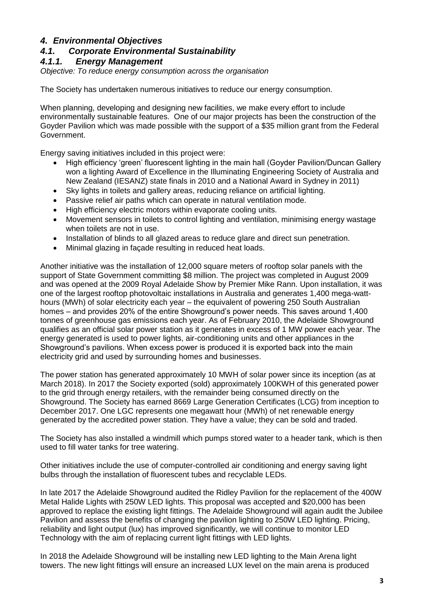#### <span id="page-4-0"></span>*4. Environmental Objectives*

#### <span id="page-4-1"></span>*4.1. Corporate Environmental Sustainability*

#### <span id="page-4-2"></span>*4.1.1. Energy Management*

*Objective: To reduce energy consumption across the organisation*

The Society has undertaken numerous initiatives to reduce our energy consumption.

When planning, developing and designing new facilities, we make every effort to include environmentally sustainable features. One of our major projects has been the construction of the Goyder Pavilion which was made possible with the support of a \$35 million grant from the Federal Government.

Energy saving initiatives included in this project were:

- High efficiency 'green' fluorescent lighting in the main hall (Goyder Pavilion/Duncan Gallery won a lighting Award of Excellence in the Illuminating Engineering Society of Australia and New Zealand (IESANZ) state finals in 2010 and a National Award in Sydney in 2011)
- Sky lights in toilets and gallery areas, reducing reliance on artificial lighting.
- Passive relief air paths which can operate in natural ventilation mode.
- High efficiency electric motors within evaporate cooling units.
- Movement sensors in toilets to control lighting and ventilation, minimising energy wastage when toilets are not in use.
- Installation of blinds to all glazed areas to reduce glare and direct sun penetration.
- Minimal glazing in façade resulting in reduced heat loads.

Another initiative was the installation of 12,000 square meters of rooftop solar panels with the support of State Government committing \$8 million. The project was completed in August 2009 and was opened at the 2009 Royal Adelaide Show by Premier Mike Rann. Upon installation, it was one of the largest rooftop photovoltaic installations in Australia and generates 1,400 mega-watthours (MWh) of solar electricity each year – the equivalent of powering 250 South Australian homes – and provides 20% of the entire Showground's power needs. This saves around 1,400 tonnes of greenhouse gas emissions each year. As of February 2010, the Adelaide Showground qualifies as an official solar power station as it generates in excess of 1 MW power each year. The energy generated is used to power lights, air-conditioning units and other appliances in the Showground's pavilions. When excess power is produced it is exported back into the main electricity grid and used by surrounding homes and businesses.

The power station has generated approximately 10 MWH of solar power since its inception (as at March 2018). In 2017 the Society exported (sold) approximately 100KWH of this generated power to the grid through energy retailers, with the remainder being consumed directly on the Showground. The Society has earned 8669 Large Generation Certificates (LCG) from inception to December 2017. One LGC represents one megawatt hour (MWh) of net renewable energy generated by the accredited power station. They have a value; they can be sold and traded.

The Society has also installed a windmill which pumps stored water to a header tank, which is then used to fill water tanks for tree watering.

Other initiatives include the use of computer-controlled air conditioning and energy saving light bulbs through the installation of fluorescent tubes and recyclable LEDs.

In late 2017 the Adelaide Showground audited the Ridley Pavilion for the replacement of the 400W Metal Halide Lights with 250W LED lights. This proposal was accepted and \$20,000 has been approved to replace the existing light fittings. The Adelaide Showground will again audit the Jubilee Pavilion and assess the benefits of changing the pavilion lighting to 250W LED lighting. Pricing, reliability and light output (lux) has improved significantly, we will continue to monitor LED Technology with the aim of replacing current light fittings with LED lights.

In 2018 the Adelaide Showground will be installing new LED lighting to the Main Arena light towers. The new light fittings will ensure an increased LUX level on the main arena is produced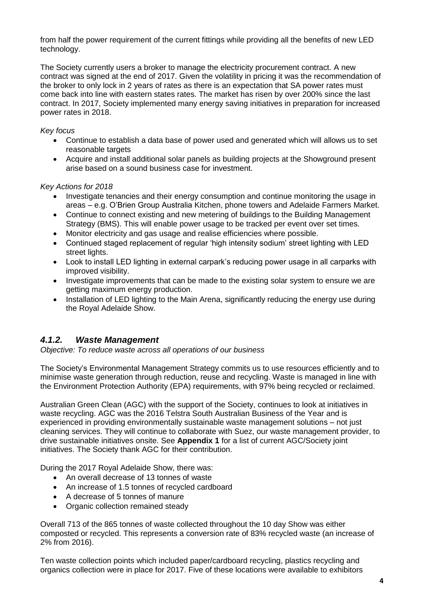from half the power requirement of the current fittings while providing all the benefits of new LED technology.

The Society currently users a broker to manage the electricity procurement contract. A new contract was signed at the end of 2017. Given the volatility in pricing it was the recommendation of the broker to only lock in 2 years of rates as there is an expectation that SA power rates must come back into line with eastern states rates. The market has risen by over 200% since the last contract. In 2017, Society implemented many energy saving initiatives in preparation for increased power rates in 2018.

#### *Key focus*

- Continue to establish a data base of power used and generated which will allows us to set reasonable targets
- Acquire and install additional solar panels as building projects at the Showground present arise based on a sound business case for investment.

#### *Key Actions for 2018*

- Investigate tenancies and their energy consumption and continue monitoring the usage in areas – e.g. O'Brien Group Australia Kitchen, phone towers and Adelaide Farmers Market.
- Continue to connect existing and new metering of buildings to the Building Management Strategy (BMS). This will enable power usage to be tracked per event over set times.
- Monitor electricity and gas usage and realise efficiencies where possible.
- Continued staged replacement of regular 'high intensity sodium' street lighting with LED street lights.
- Look to install LED lighting in external carpark's reducing power usage in all carparks with improved visibility.
- Investigate improvements that can be made to the existing solar system to ensure we are getting maximum energy production.
- Installation of LED lighting to the Main Arena, significantly reducing the energy use during the Royal Adelaide Show.

#### <span id="page-5-0"></span>*4.1.2. Waste Management*

*Objective: To reduce waste across all operations of our business*

The Society's Environmental Management Strategy commits us to use resources efficiently and to minimise waste generation through reduction, reuse and recycling. Waste is managed in line with the Environment Protection Authority (EPA) requirements, with 97% being recycled or reclaimed.

Australian Green Clean (AGC) with the support of the Society, continues to look at initiatives in waste recycling. AGC was the 2016 Telstra South Australian Business of the Year and is experienced in providing environmentally sustainable waste management solutions – not just cleaning services. They will continue to collaborate with Suez, our waste management provider, to drive sustainable initiatives onsite. See **Appendix 1** for a list of current AGC/Society joint initiatives. The Society thank AGC for their contribution.

During the 2017 Royal Adelaide Show, there was:

- An overall decrease of 13 tonnes of waste
- An increase of 1.5 tonnes of recycled cardboard
- A decrease of 5 tonnes of manure
- Organic collection remained steady

Overall 713 of the 865 tonnes of waste collected throughout the 10 day Show was either composted or recycled. This represents a conversion rate of 83% recycled waste (an increase of 2% from 2016).

Ten waste collection points which included paper/cardboard recycling, plastics recycling and organics collection were in place for 2017. Five of these locations were available to exhibitors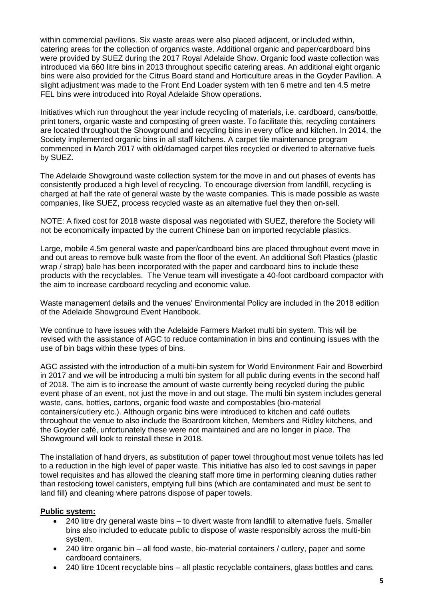within commercial pavilions. Six waste areas were also placed adjacent, or included within, catering areas for the collection of organics waste. Additional organic and paper/cardboard bins were provided by SUEZ during the 2017 Royal Adelaide Show. Organic food waste collection was introduced via 660 litre bins in 2013 throughout specific catering areas. An additional eight organic bins were also provided for the Citrus Board stand and Horticulture areas in the Goyder Pavilion. A slight adjustment was made to the Front End Loader system with ten 6 metre and ten 4.5 metre FEL bins were introduced into Royal Adelaide Show operations.

Initiatives which run throughout the year include recycling of materials, i.e. cardboard, cans/bottle, print toners, organic waste and composting of green waste. To facilitate this, recycling containers are located throughout the Showground and recycling bins in every office and kitchen. In 2014, the Society implemented organic bins in all staff kitchens. A carpet tile maintenance program commenced in March 2017 with old/damaged carpet tiles recycled or diverted to alternative fuels by SUEZ.

The Adelaide Showground waste collection system for the move in and out phases of events has consistently produced a high level of recycling. To encourage diversion from landfill, recycling is charged at half the rate of general waste by the waste companies. This is made possible as waste companies, like SUEZ, process recycled waste as an alternative fuel they then on-sell.

NOTE: A fixed cost for 2018 waste disposal was negotiated with SUEZ, therefore the Society will not be economically impacted by the current Chinese ban on imported recyclable plastics.

Large, mobile 4.5m general waste and paper/cardboard bins are placed throughout event move in and out areas to remove bulk waste from the floor of the event. An additional Soft Plastics (plastic wrap / strap) bale has been incorporated with the paper and cardboard bins to include these products with the recyclables. The Venue team will investigate a 40-foot cardboard compactor with the aim to increase cardboard recycling and economic value.

Waste management details and the venues' Environmental Policy are included in the 2018 edition of the Adelaide Showground Event Handbook.

We continue to have issues with the Adelaide Farmers Market multi bin system. This will be revised with the assistance of AGC to reduce contamination in bins and continuing issues with the use of bin bags within these types of bins.

AGC assisted with the introduction of a multi-bin system for World Environment Fair and Bowerbird in 2017 and we will be introducing a multi bin system for all public during events in the second half of 2018. The aim is to increase the amount of waste currently being recycled during the public event phase of an event, not just the move in and out stage. The multi bin system includes general waste, cans, bottles, cartons, organic food waste and compostables (bio-material containers/cutlery etc.). Although organic bins were introduced to kitchen and café outlets throughout the venue to also include the Boardroom kitchen, Members and Ridley kitchens, and the Goyder café, unfortunately these were not maintained and are no longer in place. The Showground will look to reinstall these in 2018.

The installation of hand dryers, as substitution of paper towel throughout most venue toilets has led to a reduction in the high level of paper waste. This initiative has also led to cost savings in paper towel requisites and has allowed the cleaning staff more time in performing cleaning duties rather than restocking towel canisters, emptying full bins (which are contaminated and must be sent to land fill) and cleaning where patrons dispose of paper towels.

#### **Public system:**

- 240 litre dry general waste bins to divert waste from landfill to alternative fuels. Smaller bins also included to educate public to dispose of waste responsibly across the multi-bin system.
- 240 litre organic bin all food waste, bio-material containers / cutlery, paper and some cardboard containers.
- 240 litre 10cent recyclable bins all plastic recyclable containers, glass bottles and cans.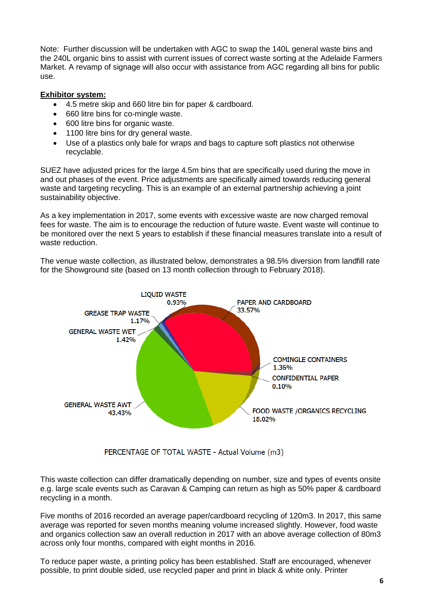Note: Further discussion will be undertaken with AGC to swap the 140L general waste bins and the 240L organic bins to assist with current issues of correct waste sorting at the Adelaide Farmers Market. A revamp of signage will also occur with assistance from AGC regarding all bins for public use.

#### **Exhibitor system:**

- 4.5 metre skip and 660 litre bin for paper & cardboard.
- 660 litre bins for co-mingle waste.
- 600 litre bins for organic waste.
- 1100 litre bins for dry general waste.
- Use of a plastics only bale for wraps and bags to capture soft plastics not otherwise recyclable.

SUEZ have adjusted prices for the large 4.5m bins that are specifically used during the move in and out phases of the event. Price adjustments are specifically aimed towards reducing general waste and targeting recycling. This is an example of an external partnership achieving a joint sustainability objective.

As a key implementation in 2017, some events with excessive waste are now charged removal fees for waste. The aim is to encourage the reduction of future waste. Event waste will continue to be monitored over the next 5 years to establish if these financial measures translate into a result of waste reduction.

The venue waste collection, as illustrated below, demonstrates a 98.5% diversion from landfill rate for the Showground site (based on 13 month collection through to February 2018).



PERCENTAGE OF TOTAL WASTE - Actual Volume (m3)

This waste collection can differ dramatically depending on number, size and types of events onsite e.g. large scale events such as Caravan & Camping can return as high as 50% paper & cardboard recycling in a month.

Five months of 2016 recorded an average paper/cardboard recycling of 120m3. In 2017, this same average was reported for seven months meaning volume increased slightly. However, food waste and organics collection saw an overall reduction in 2017 with an above average collection of 80m3 across only four months, compared with eight months in 2016.

To reduce paper waste, a printing policy has been established. Staff are encouraged, whenever possible, to print double sided, use recycled paper and print in black & white only. Printer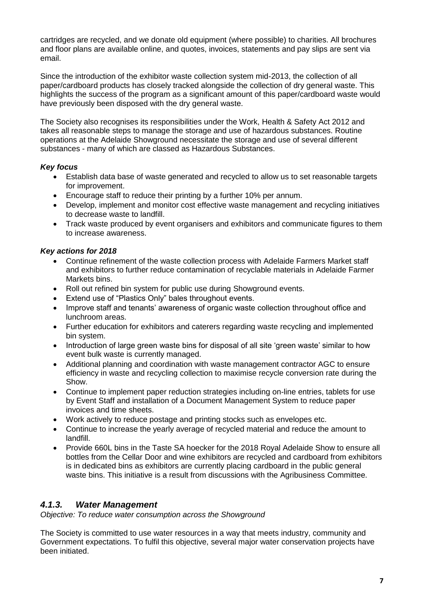cartridges are recycled, and we donate old equipment (where possible) to charities. All brochures and floor plans are available online, and quotes, invoices, statements and pay slips are sent via email.

Since the introduction of the exhibitor waste collection system mid-2013, the collection of all paper/cardboard products has closely tracked alongside the collection of dry general waste. This highlights the success of the program as a significant amount of this paper/cardboard waste would have previously been disposed with the dry general waste.

The Society also recognises its responsibilities under the Work, Health & Safety Act 2012 and takes all reasonable steps to manage the storage and use of hazardous substances. Routine operations at the Adelaide Showground necessitate the storage and use of several different substances - many of which are classed as Hazardous Substances.

#### *Key focus*

- Establish data base of waste generated and recycled to allow us to set reasonable targets for improvement.
- Encourage staff to reduce their printing by a further 10% per annum.
- Develop, implement and monitor cost effective waste management and recycling initiatives to decrease waste to landfill.
- Track waste produced by event organisers and exhibitors and communicate figures to them to increase awareness.

#### *Key actions for 2018*

- Continue refinement of the waste collection process with Adelaide Farmers Market staff and exhibitors to further reduce contamination of recyclable materials in Adelaide Farmer Markets bins.
- Roll out refined bin system for public use during Showground events.
- Extend use of "Plastics Only" bales throughout events.
- Improve staff and tenants' awareness of organic waste collection throughout office and lunchroom areas.
- Further education for exhibitors and caterers regarding waste recycling and implemented bin system.
- Introduction of large green waste bins for disposal of all site 'green waste' similar to how event bulk waste is currently managed.
- Additional planning and coordination with waste management contractor AGC to ensure efficiency in waste and recycling collection to maximise recycle conversion rate during the Show.
- Continue to implement paper reduction strategies including on-line entries, tablets for use by Event Staff and installation of a Document Management System to reduce paper invoices and time sheets.
- Work actively to reduce postage and printing stocks such as envelopes etc.
- Continue to increase the yearly average of recycled material and reduce the amount to landfill.
- Provide 660L bins in the Taste SA hoecker for the 2018 Royal Adelaide Show to ensure all bottles from the Cellar Door and wine exhibitors are recycled and cardboard from exhibitors is in dedicated bins as exhibitors are currently placing cardboard in the public general waste bins. This initiative is a result from discussions with the Agribusiness Committee.

## <span id="page-8-0"></span>*4.1.3. Water Management*

*Objective: To reduce water consumption across the Showground*

The Society is committed to use water resources in a way that meets industry, community and Government expectations. To fulfil this objective, several major water conservation projects have been initiated.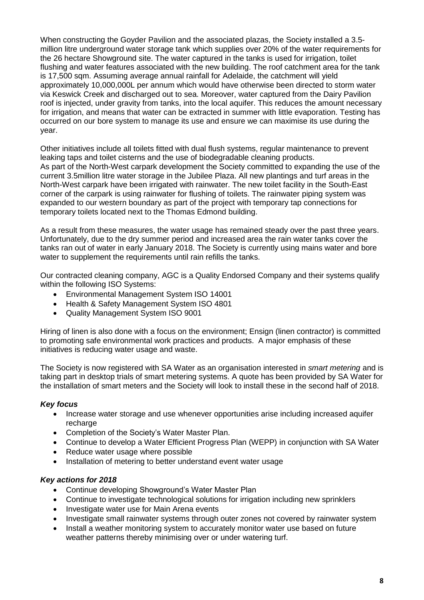When constructing the Goyder Pavilion and the associated plazas, the Society installed a 3.5 million litre underground water storage tank which supplies over 20% of the water requirements for the 26 hectare Showground site. The water captured in the tanks is used for irrigation, toilet flushing and water features associated with the new building. The roof catchment area for the tank is 17,500 sqm. Assuming average annual rainfall for Adelaide, the catchment will yield approximately 10,000,000L per annum which would have otherwise been directed to storm water via Keswick Creek and discharged out to sea. Moreover, water captured from the Dairy Pavilion roof is injected, under gravity from tanks, into the local aquifer. This reduces the amount necessary for irrigation, and means that water can be extracted in summer with little evaporation. Testing has occurred on our bore system to manage its use and ensure we can maximise its use during the year.

Other initiatives include all toilets fitted with dual flush systems, regular maintenance to prevent leaking taps and toilet cisterns and the use of biodegradable cleaning products. As part of the North-West carpark development the Society committed to expanding the use of the current 3.5million litre water storage in the Jubilee Plaza. All new plantings and turf areas in the North-West carpark have been irrigated with rainwater. The new toilet facility in the South-East corner of the carpark is using rainwater for flushing of toilets. The rainwater piping system was expanded to our western boundary as part of the project with temporary tap connections for temporary toilets located next to the Thomas Edmond building.

As a result from these measures, the water usage has remained steady over the past three years. Unfortunately, due to the dry summer period and increased area the rain water tanks cover the tanks ran out of water in early January 2018. The Society is currently using mains water and bore water to supplement the requirements until rain refills the tanks.

Our contracted cleaning company, AGC is a Quality Endorsed Company and their systems qualify within the following ISO Systems:

- Environmental Management System ISO 14001
- Health & Safety Management System ISO 4801
- Quality Management System ISO 9001

Hiring of linen is also done with a focus on the environment; Ensign (linen contractor) is committed to promoting safe environmental work practices and products. A major emphasis of these initiatives is reducing water usage and waste.

The Society is now registered with SA Water as an organisation interested in *smart metering* and is taking part in desktop trials of smart metering systems. A quote has been provided by SA Water for the installation of smart meters and the Society will look to install these in the second half of 2018.

#### *Key focus*

- Increase water storage and use whenever opportunities arise including increased aquifer recharge
- Completion of the Society's Water Master Plan.
- Continue to develop a Water Efficient Progress Plan (WEPP) in conjunction with SA Water
- Reduce water usage where possible
- Installation of metering to better understand event water usage

#### *Key actions for 2018*

- Continue developing Showground's Water Master Plan
- Continue to investigate technological solutions for irrigation including new sprinklers
- Investigate water use for Main Arena events
- Investigate small rainwater systems through outer zones not covered by rainwater system
- Install a weather monitoring system to accurately monitor water use based on future weather patterns thereby minimising over or under watering turf.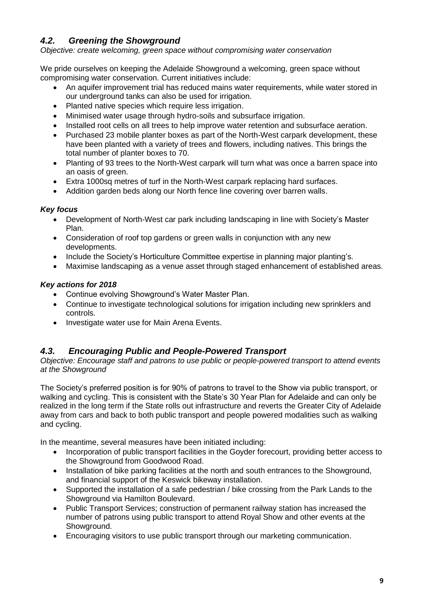## <span id="page-10-0"></span>*4.2. Greening the Showground*

*Objective: create welcoming, green space without compromising water conservation*

We pride ourselves on keeping the Adelaide Showground a welcoming, green space without compromising water conservation. Current initiatives include:

- An aquifer improvement trial has reduced mains water requirements, while water stored in our underground tanks can also be used for irrigation.
- Planted native species which require less irrigation.
- Minimised water usage through hydro-soils and subsurface irrigation.
- Installed root cells on all trees to help improve water retention and subsurface aeration.
- Purchased 23 mobile planter boxes as part of the North-West carpark development, these have been planted with a variety of trees and flowers, including natives. This brings the total number of planter boxes to 70.
- Planting of 93 trees to the North-West carpark will turn what was once a barren space into an oasis of green.
- Extra 1000sq metres of turf in the North-West carpark replacing hard surfaces.
- Addition garden beds along our North fence line covering over barren walls.

#### *Key focus*

- Development of North-West car park including landscaping in line with Society's Master Plan.
- Consideration of roof top gardens or green walls in conjunction with any new developments.
- Include the Society's Horticulture Committee expertise in planning major planting's.
- Maximise landscaping as a venue asset through staged enhancement of established areas.

#### *Key actions for 2018*

- Continue evolving Showground's Water Master Plan.
- Continue to investigate technological solutions for irrigation including new sprinklers and controls.
- Investigate water use for Main Arena Events.

## <span id="page-10-1"></span>*4.3. Encouraging Public and People-Powered Transport*

*Objective: Encourage staff and patrons to use public or people-powered transport to attend events at the Showground*

The Society's preferred position is for 90% of patrons to travel to the Show via public transport, or walking and cycling. This is consistent with the State's 30 Year Plan for Adelaide and can only be realized in the long term if the State rolls out infrastructure and reverts the Greater City of Adelaide away from cars and back to both public transport and people powered modalities such as walking and cycling.

In the meantime, several measures have been initiated including:

- Incorporation of public transport facilities in the Goyder forecourt, providing better access to the Showground from Goodwood Road.
- Installation of bike parking facilities at the north and south entrances to the Showground, and financial support of the Keswick bikeway installation.
- Supported the installation of a safe pedestrian / bike crossing from the Park Lands to the Showground via Hamilton Boulevard.
- Public Transport Services; construction of permanent railway station has increased the number of patrons using public transport to attend Royal Show and other events at the Showground.
- Encouraging visitors to use public transport through our marketing communication.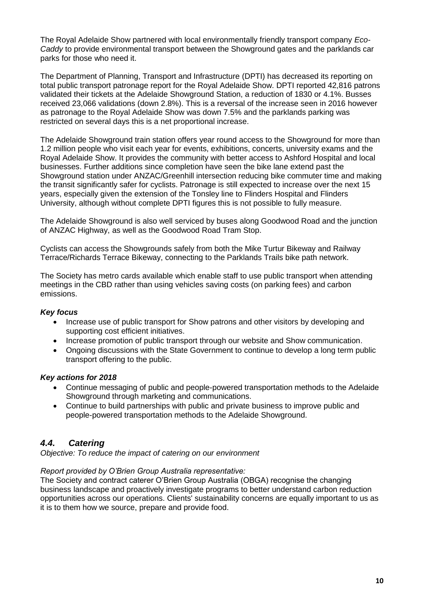The Royal Adelaide Show partnered with local environmentally friendly transport company *Eco-Caddy* to provide environmental transport between the Showground gates and the parklands car parks for those who need it.

The Department of Planning, Transport and Infrastructure (DPTI) has decreased its reporting on total public transport patronage report for the Royal Adelaide Show. DPTI reported 42,816 patrons validated their tickets at the Adelaide Showground Station, a reduction of 1830 or 4.1%. Busses received 23,066 validations (down 2.8%). This is a reversal of the increase seen in 2016 however as patronage to the Royal Adelaide Show was down 7.5% and the parklands parking was restricted on several days this is a net proportional increase.

The Adelaide Showground train station offers year round access to the Showground for more than 1.2 million people who visit each year for events, exhibitions, concerts, university exams and the Royal Adelaide Show. It provides the community with better access to Ashford Hospital and local businesses. Further additions since completion have seen the bike lane extend past the Showground station under ANZAC/Greenhill intersection reducing bike commuter time and making the transit significantly safer for cyclists. Patronage is still expected to increase over the next 15 years, especially given the extension of the Tonsley line to Flinders Hospital and Flinders University, although without complete DPTI figures this is not possible to fully measure.

The Adelaide Showground is also well serviced by buses along Goodwood Road and the junction of ANZAC Highway, as well as the Goodwood Road Tram Stop.

Cyclists can access the Showgrounds safely from both the Mike Turtur Bikeway and Railway Terrace/Richards Terrace Bikeway, connecting to the Parklands Trails bike path network.

The Society has metro cards available which enable staff to use public transport when attending meetings in the CBD rather than using vehicles saving costs (on parking fees) and carbon emissions.

#### *Key focus*

- Increase use of public transport for Show patrons and other visitors by developing and supporting cost efficient initiatives.
- Increase promotion of public transport through our website and Show communication.
- Ongoing discussions with the State Government to continue to develop a long term public transport offering to the public.

#### *Key actions for 2018*

- Continue messaging of public and people-powered transportation methods to the Adelaide Showground through marketing and communications.
- Continue to build partnerships with public and private business to improve public and people-powered transportation methods to the Adelaide Showground.

## <span id="page-11-0"></span>*4.4. Catering*

*Objective: To reduce the impact of catering on our environment*

#### *Report provided by O'Brien Group Australia representative:*

The Society and contract caterer O'Brien Group Australia (OBGA) recognise the changing business landscape and proactively investigate programs to better understand carbon reduction opportunities across our operations. Clients' sustainability concerns are equally important to us as it is to them how we source, prepare and provide food.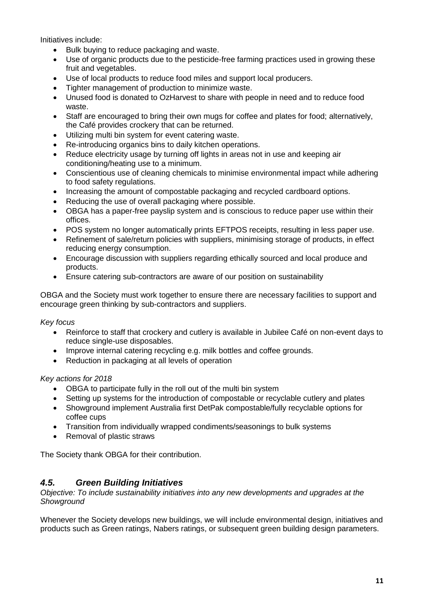Initiatives include:

- Bulk buying to reduce packaging and waste.
- Use of organic products due to the pesticide-free farming practices used in growing these fruit and vegetables.
- Use of local products to reduce food miles and support local producers.
- Tighter management of production to minimize waste.
- Unused food is donated to OzHarvest to share with people in need and to reduce food waste.
- Staff are encouraged to bring their own mugs for coffee and plates for food; alternatively, the Café provides crockery that can be returned.
- Utilizing multi bin system for event catering waste.
- Re-introducing organics bins to daily kitchen operations.
- Reduce electricity usage by turning off lights in areas not in use and keeping air conditioning/heating use to a minimum.
- Conscientious use of cleaning chemicals to minimise environmental impact while adhering to food safety regulations.
- Increasing the amount of compostable packaging and recycled cardboard options.
- Reducing the use of overall packaging where possible.
- OBGA has a paper-free payslip system and is conscious to reduce paper use within their offices.
- POS system no longer automatically prints EFTPOS receipts, resulting in less paper use.
- Refinement of sale/return policies with suppliers, minimising storage of products, in effect reducing energy consumption.
- Encourage discussion with suppliers regarding ethically sourced and local produce and products.
- Ensure catering sub-contractors are aware of our position on sustainability

OBGA and the Society must work together to ensure there are necessary facilities to support and encourage green thinking by sub-contractors and suppliers.

#### *Key focus*

- Reinforce to staff that crockery and cutlery is available in Jubilee Café on non-event days to reduce single-use disposables.
- Improve internal catering recycling e.g. milk bottles and coffee grounds.
- Reduction in packaging at all levels of operation

#### *Key actions for 2018*

- OBGA to participate fully in the roll out of the multi bin system
- Setting up systems for the introduction of compostable or recyclable cutlery and plates
- Showground implement Australia first DetPak compostable/fully recyclable options for coffee cups
- Transition from individually wrapped condiments/seasonings to bulk systems
- Removal of plastic straws

The Society thank OBGA for their contribution.

## <span id="page-12-0"></span>*4.5. Green Building Initiatives*

*Objective: To include sustainability initiatives into any new developments and upgrades at the Showground*

Whenever the Society develops new buildings, we will include environmental design, initiatives and products such as Green ratings, Nabers ratings, or subsequent green building design parameters.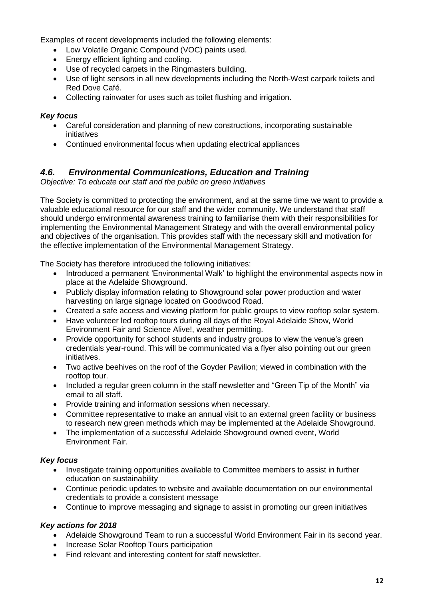Examples of recent developments included the following elements:

- Low Volatile Organic Compound (VOC) paints used.
- Energy efficient lighting and cooling.
- Use of recycled carpets in the Ringmasters building.
- Use of light sensors in all new developments including the North-West carpark toilets and Red Dove Café.
- Collecting rainwater for uses such as toilet flushing and irrigation.

#### *Key focus*

- Careful consideration and planning of new constructions, incorporating sustainable initiatives
- Continued environmental focus when updating electrical appliances

### <span id="page-13-0"></span>*4.6. Environmental Communications, Education and Training*

*Objective: To educate our staff and the public on green initiatives*

The Society is committed to protecting the environment, and at the same time we want to provide a valuable educational resource for our staff and the wider community. We understand that staff should undergo environmental awareness training to familiarise them with their responsibilities for implementing the Environmental Management Strategy and with the overall environmental policy and objectives of the organisation. This provides staff with the necessary skill and motivation for the effective implementation of the Environmental Management Strategy.

The Society has therefore introduced the following initiatives:

- Introduced a permanent 'Environmental Walk' to highlight the environmental aspects now in place at the Adelaide Showground.
- Publicly display information relating to Showground solar power production and water harvesting on large signage located on Goodwood Road.
- Created a safe access and viewing platform for public groups to view rooftop solar system.
- Have volunteer led rooftop tours during all days of the Royal Adelaide Show, World Environment Fair and Science Alive!, weather permitting.
- Provide opportunity for school students and industry groups to view the venue's green credentials year-round. This will be communicated via a flyer also pointing out our green initiatives.
- Two active beehives on the roof of the Goyder Pavilion; viewed in combination with the rooftop tour.
- Included a regular green column in the staff newsletter and "Green Tip of the Month" via email to all staff.
- Provide training and information sessions when necessary.
- Committee representative to make an annual visit to an external green facility or business to research new green methods which may be implemented at the Adelaide Showground.
- The implementation of a successful Adelaide Showground owned event, World Environment Fair.

#### *Key focus*

- Investigate training opportunities available to Committee members to assist in further education on sustainability
- Continue periodic updates to website and available documentation on our environmental credentials to provide a consistent message
- Continue to improve messaging and signage to assist in promoting our green initiatives

#### *Key actions for 2018*

- Adelaide Showground Team to run a successful World Environment Fair in its second year.
- Increase Solar Rooftop Tours participation
- Find relevant and interesting content for staff newsletter.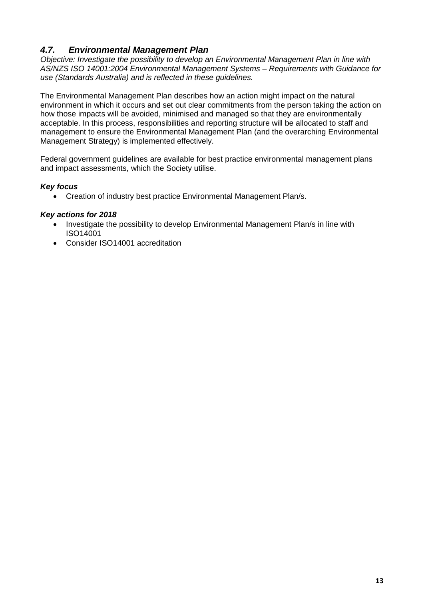## <span id="page-14-0"></span>*4.7. Environmental Management Plan*

*Objective: Investigate the possibility to develop an Environmental Management Plan in line with AS/NZS ISO 14001:2004 Environmental Management Systems – Requirements with Guidance for use (Standards Australia) and is reflected in these guidelines.*

The Environmental Management Plan describes how an action might impact on the natural environment in which it occurs and set out clear commitments from the person taking the action on how those impacts will be avoided, minimised and managed so that they are environmentally acceptable. In this process, responsibilities and reporting structure will be allocated to staff and management to ensure the Environmental Management Plan (and the overarching Environmental Management Strategy) is implemented effectively.

Federal government guidelines are available for best practice environmental management plans and impact assessments, which the Society utilise.

#### *Key focus*

• Creation of industry best practice Environmental Management Plan/s.

#### *Key actions for 2018*

- Investigate the possibility to develop Environmental Management Plan/s in line with ISO14001
- Consider ISO14001 accreditation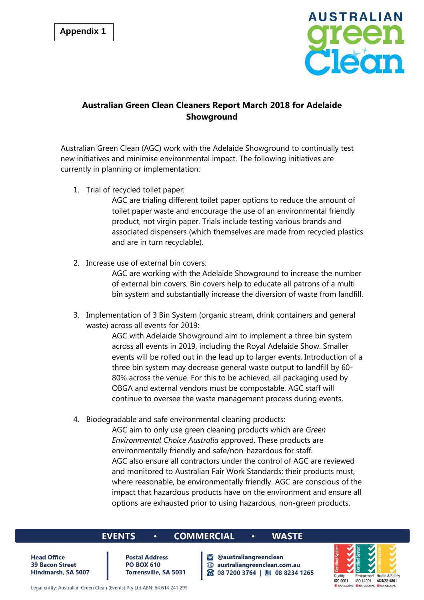

## **Australian Green Clean Cleaners Report March 2018 for Adelaide Showground**

Australian Green Clean (AGC) work with the Adelaide Showground to continually test new initiatives and minimise environmental impact. The following initiatives are currently in planning or implementation:

1. Trial of recycled toilet paper:

AGC are trialing different toilet paper options to reduce the amount of toilet paper waste and encourage the use of an environmental friendly product, not virgin paper. Trials include testing various brands and associated dispensers (which themselves are made from recycled plastics and are in turn recyclable).

2. Increase use of external bin covers:

AGC are working with the Adelaide Showground to increase the number of external bin covers. Bin covers help to educate all patrons of a multi bin system and substantially increase the diversion of waste from landfill.

3. Implementation of 3 Bin System (organic stream, drink containers and general waste) across all events for 2019:

> AGC with Adelaide Showground aim to implement a three bin system across all events in 2019, including the Royal Adelaide Show. Smaller events will be rolled out in the lead up to larger events. Introduction of a three bin system may decrease general waste output to landfill by 60- 80% across the venue. For this to be achieved, all packaging used by OBGA and external vendors must be compostable. AGC staff will continue to oversee the waste management process during events.

4. Biodegradable and safe environmental cleaning products:

AGC aim to only use green cleaning products which are *Green Environmental Choice Australia* approved. These products are environmentally friendly and safe/non-hazardous for staff. AGC also ensure all contractors under the control of AGC are reviewed and monitored to Australian Fair Work Standards; their products must, where reasonable, be environmentally friendly. AGC are conscious of the impact that hazardous products have on the environment and ensure all options are exhausted prior to using hazardous, non-green products.

#### **EVENTS**

#### **COMMERCIAL**

**Head Office 39 Bacon Street** Hindmarsh, SA 5007

**Postal Address PO BOX 610** Torrensville, SA 5031

 $\bullet$ 

## **WASTE**

**C** @australiangreenclean @ australiangreenclean.com.au 8 08 7200 3764 | 9 08 8234 1265

 $\bullet$